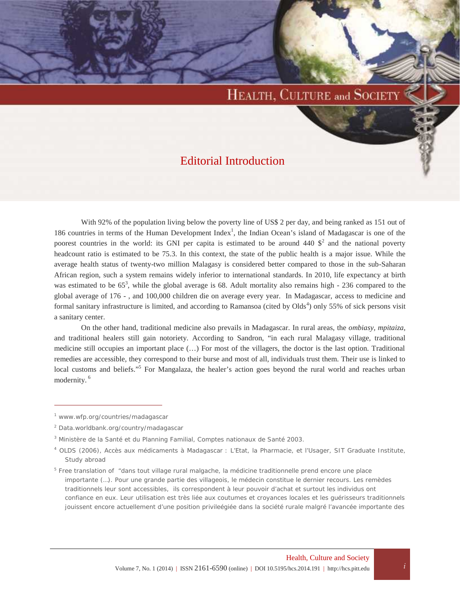# HEALTH, CULTURE and SOCIETY

## Editorial Introduction

With 92% of the population living below the poverty line of US\$ 2 per day, and being ranked as 151 out of 186 countries in terms of the Human Development Index<sup>1</sup>, the Indian Ocean's island of Madagascar is one of the poorest countries in the world: its GNI per capita is estimated to be around 440  $\frac{1}{2}$  and the national poverty headcount ratio is estimated to be 75.3. In this context, the state of the public health is a major issue. While the average health status of twenty-two million Malagasy is considered better compared to those in the sub-Saharan African region, such a system remains widely inferior to international standards. In 2010, life expectancy at birth was estimated to be  $65^3$ , while the global average is 68. Adult mortality also remains high - 236 compared to the global average of 176 - , and 100,000 children die on average every year. In Madagascar, access to medicine and formal sanitary infrastructure is limited, and according to Ramansoa (cited by Olds<sup>4</sup>) only 55% of sick persons visit a sanitary center.

On the other hand, traditional medicine also prevails in Madagascar. In rural areas, the *ombiasy, mpitaiza*, and traditional healers still gain notoriety. According to Sandron, "in each rural Malagasy village, traditional medicine still occupies an important place (…) For most of the villagers, the doctor is the last option. Traditional remedies are accessible, they correspond to their burse and most of all, individuals trust them. Their use is linked to local customs and beliefs."<sup>5</sup> For Mangalaza, the healer's action goes beyond the rural world and reaches urban modernity. <sup>6</sup>

<sup>1</sup> www.wfp.org/countries/madagascar

<sup>2</sup> Data.worldbank.org/country/madagascar

<sup>&</sup>lt;sup>3</sup> Ministère de la Santé et du Planning Familial, Comptes nationaux de Santé 2003.

<sup>4</sup> OLDS (2006), *Accès aux médicaments à Madagascar : L'Etat, la Pharmacie, et l'Usager,* SIT Graduate Institute, Study abroad

<sup>&</sup>lt;sup>5</sup> Free translation of "dans tout village rural malgache, la médicine traditionnelle prend encore une place importante (...). Pour une grande partie des villageois, le médecin constitue le dernier recours. Les remèdes traditionnels leur sont accessibles, ils correspondent à leur pouvoir d'achat et surtout les individus ont confiance en eux. Leur utilisation est très liée aux coutumes et croyances locales et les guérisseurs traditionnels jouissent encore actuellement d'une position privileégiée dans la société rurale malgré l'avancée importante des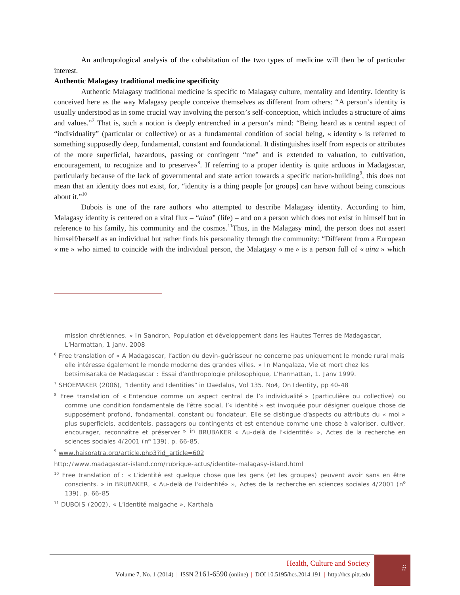An anthropological analysis of the cohabitation of the two types of medicine will then be of particular interest.

#### **Authentic Malagasy traditional medicine specificity**

Authentic Malagasy traditional medicine is specific to Malagasy culture, mentality and identity. Identity is conceived here as the way Malagasy people conceive themselves as different from others: "A person's identity is usually understood as in some crucial way involving the person's self-conception, which includes a structure of aims and values."<sup>7</sup> That is, such a notion is deeply entrenched in a person's mind: "Being heard as a central aspect of "individuality" (particular or collective) or as a fundamental condition of social being, « identity » is referred to something supposedly deep, fundamental, constant and foundational. It distinguishes itself from aspects or attributes of the more superficial, hazardous, passing or contingent "me" and is extended to valuation, to cultivation, encouragement, to recognize and to preserve»<sup>8</sup>. If referring to a proper identity is quite arduous in Madagascar, particularly because of the lack of governmental and state action towards a specific nation-building<sup>9</sup>, this does not mean that an identity does not exist, for, "identity is a thing people [or groups] can have without being conscious about it." $^{10}$ 

Dubois is one of the rare authors who attempted to describe Malagasy identity. According to him, Malagasy identity is centered on a vital flux – "*aina*" (life) – and on a person which does not exist in himself but in reference to his family, his community and the cosmos.<sup>11</sup>Thus, in the Malagasy mind, the person does not assert himself/herself as an individual but rather finds his personality through the community: "Different from a European « me » who aimed to coincide with the individual person, the Malagasy « me » is a person full of « *aina* » which

mission chrétiennes. » In Sandron, Population et développement dans les Hautes Terres de Madagascar, L'Harmattan, 1 janv. 2008

http://www.madagascar-island.com/rubrique-actus/identite-malagasy-island.html

<sup>6</sup> Free translation of « A Madagascar, l'action du devin-guérisseur ne concerne pas uniquement le monde rural mais elle intéresse également le monde moderne des grandes villes. » In Mangalaza, Vie et mort chez les betsimisaraka de Madagascar : Essai d'anthropologie philosophique, L'Harmattan, 1. Janv 1999.

<sup>7</sup> SHOEMAKER (2006), "Identity and Identities" in *Daedalus*, Vol 135. No4, On Identity, pp 40-48

<sup>&</sup>lt;sup>8</sup> Free translation of « Entendue comme un aspect central de l'« individualité » (particulière ou collective) ou comme une condition fondamentale de l'être social, l'« identité » est invoquée pour désigner quelque chose de supposément *profond, fondamental, constant ou fondateur*. Elle se distingue d'aspects ou attributs du « moi » plus superficiels, accidentels, passagers ou contingents et est entendue comme une chose à valoriser, cultiver, encourager, reconnaître et préserver » in BRUBAKER « Au-delà de l'«identité» », *Actes de la recherche en sciences sociales* 4/2001 (n**<sup>o</sup>** 139), p. 66-85.

<sup>9</sup> www.haisoratra.org/article.php3?id\_article=602

<sup>&</sup>lt;sup>10</sup> Free translation of : « L'identité est quelque chose que les gens (et les groupes) peuvent avoir sans en être conscients. » in BRUBAKER, « Au-delà de l'«identité» », *Actes de la recherche en sciences sociales* 4/2001 (n**<sup>o</sup>** 139), p. 66-85

<sup>11</sup> DUBOIS (2002), « L'identité malgache », Karthala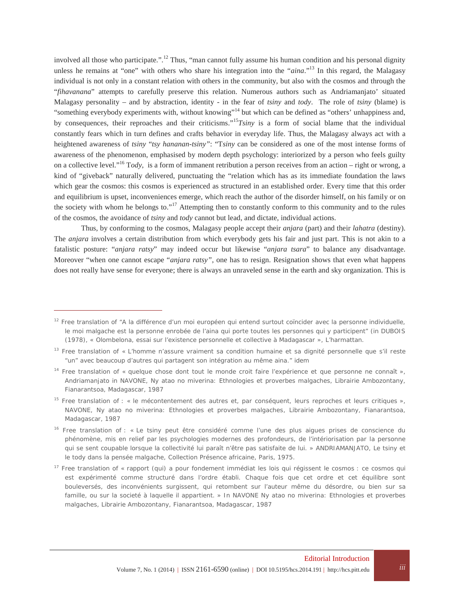involved all those who participate.".<sup>12</sup> Thus, "man cannot fully assume his human condition and his personal dignity unless he remains at "one" with others who share his integration into the "*aina*." <sup>13</sup> In this regard, the Malagasy individual is not only in a constant relation with others in the community, but also with the cosmos and through the "*fihavanana*" attempts to carefully preserve this relation. Numerous authors such as Andriamanjato' situated Malagasy personality – and by abstraction, identity - in the fear of *tsiny* and *tody*. The role of *tsiny* (blame) is "something everybody experiments with, without knowing"<sup>14</sup> but which can be defined as "others' unhappiness and, by consequences, their reproaches and their criticisms." <sup>15</sup>*Tsiny* is a form of social blame that the individual constantly fears which in turn defines and crafts behavior in everyday life. Thus, the Malagasy always act with a heightened awareness of *tsiny* "*tsy hananan-tsiny"*: "T*siny* can be considered as one of the most intense forms of awareness of the phenomenon, emphasised by modern depth psychology: interiorized by a person who feels guilty on a collective level." <sup>16</sup> T*ody*, is a form of immanent retribution a person receives from an action – right or wrong, a kind of "giveback" naturally delivered, punctuating the "relation which has as its immediate foundation the laws which gear the cosmos: this cosmos is experienced as structured in an established order. Every time that this order and equilibrium is upset, inconveniences emerge, which reach the author of the disorder himself, on his family or on the society with whom he belongs to."<sup>17</sup> Attempting then to constantly conform to this community and to the rules of the cosmos, the avoidance of *tsiny* and *tody* cannot but lead, and dictate, individual actions.

Thus, by conforming to the cosmos, Malagasy people accept their *anjara* (part) and their *lahatra* (destiny). The *anjara* involves a certain distribution from which everybody gets his fair and just part. This is not akin to a fatalistic posture: "*anjara ratsy*" may indeed occur but likewise "*anjara tsara*" to balance any disadvantage. Moreover "when one cannot escape "*anjara ratsy"*, one has to resign. Resignation shows that even what happens does not really have sense for everyone; there is always an unraveled sense in the earth and sky organization. This is

 $12$  Free translation of "A la différence d'un moi européen qui entend surtout coïncider avec la personne individuelle, le moi malgache est la personne enrobée de l'aina qui porte toutes les personnes qui y participent" (in DUBOIS (1978), « Olombelona, essai sur l'existence personnelle et collective à Madagascar », L'harmattan.

<sup>&</sup>lt;sup>13</sup> Free translation of « L'homme n'assure vraiment sa condition humaine et sa dignité personnelle que s'il reste "un" avec beaucoup d'autres qui partagent son intégration au même aina." idem

<sup>&</sup>lt;sup>14</sup> Free translation of « quelque chose dont tout le monde croit faire l'expérience et que personne ne connaît », Andriamanjato in NAVONE, *Ny atao no miverina: Ethnologies et proverbes malgaches*, Librairie Ambozontany, Fianarantsoa, Madagascar, 1987

<sup>&</sup>lt;sup>15</sup> Free translation of : « le mécontentement des autres et, par conséquent, leurs reproches et leurs critiques », NAVONE, *Ny atao no miverina: Ethnologies et proverbes malgaches*, Librairie Ambozontany, Fianarantsoa, Madagascar, 1987

<sup>16</sup> Free translation of : « Le *tsiny* peut être considéré comme l'une des plus aigues prises de conscience du phénomène, mis en relief par les psychologies modernes des profondeurs, de l'intériorisation par la personne qui se sent coupable lorsque la collectivité lui paraît n'être pas satisfaite de lui. » ANDRIAMANJATO, *Le tsiny et le tody dans la pensée malgache,* Collection Présence africaine, Paris, 1975.

<sup>&</sup>lt;sup>17</sup> Free translation of « rapport (qui) a pour fondement immédiat les lois qui régissent le cosmos : ce cosmos qui est expérimenté comme structuré dans l'ordre établi. Chaque fois que cet ordre et cet équilibre sont bouleversés, des inconvénients surgissent, qui retombent sur l'auteur même du désordre, ou bien sur sa famille, ou sur la societé à laquelle il appartient. » In NAVONE *Ny atao no miverina: Ethnologies et proverbes malgaches*, Librairie Ambozontany, Fianarantsoa, Madagascar, 1987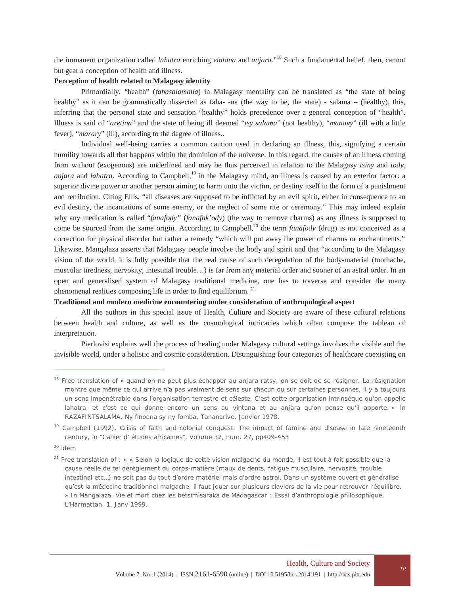the immanent organization called *lahatra* enriching *vintana* and *anjara*."<sup>18</sup> Such a fundamental belief, then, cannot but gear a conception of health and illness.

#### **Perception of health related to Malagasy identity**

Primordially, "health" (*fahasalamana*) in Malagasy mentality can be translated as "the state of being healthy" as it can be grammatically dissected as faha--na (the way to be, the state) - salama – (healthy), this, inferring that the personal state and sensation "healthy" holds precedence over a general conception of"health". Illness is said of "*aretina*" and the state of being ill deemed "*tsy salama*" (not healthy), "*manavy*" (ill with a little fever), "*marary*" (ill), according to the degree of illness..

Individual well-being carries a common caution used in declaring an illness, this, signifying a certain humility towards all that happens within the dominion of the universe. In this regard, the causes of an illness coming from without (exogenous) are underlined and may be thus perceived in relation to the Malagasy *tsiny* and *tody*, *anjara* and *lahatra*. According to Campbell,<sup>19</sup> in the Malagasy mind, an illness is caused by an exterior factor: a superior divine power or another person aiming to harm unto the victim, or destiny itself in the form of a punishment and retribution. Citing Ellis, "all diseases are supposed to be inflicted by an evil spirit, either in consequence to an evil destiny, the incantations of some enemy, or the neglect of some rite or ceremony." This may indeed explain why any medication is called "*fanafody"* (*fanafak'ody*) (the way to remove charms) as any illness is supposed to come be sourced from the same origin. According to Campbell,<sup>20</sup> the term *fanafody* (drug) is not conceived as a correction for physical disorder but rather a remedy "which will put away the power of charms or enchantments." Likewise, Mangalaza asserts that Malagasy people involve the body and spirit and that "according to the Malagasy vision of the world, it is fully possible that the real cause of such deregulation of the body-material (toothache, muscular tiredness, nervosity, intestinal trouble…) is far from any material order and sooner of an astral order. In an open and generalised system of Malagasy traditional medicine, one has to traverse and consider the many phenomenal realities composing life in order to find equilibrium. <sup>21</sup>

### **Traditional and modern medicine encountering under consideration of anthropological aspect**

All the authors in this special issue of Health, Culture and Society are aware of these cultural relations between health and culture, as well as the cosmological intricacies which often compose the tableau of interpretation.

Pierlovisi explains well the process of healing under Malagasy cultural settings involves the visible and the invisible world, under a holistic and cosmic consideration. Distinguishing four categories of healthcare coexisting on

<sup>18</sup> Free translation of « quand on ne peut plus échapper au *anjara ratsy*, on se doit de se résigner. La résignation montre que même ce qui arrive n'a pas vraiment de sens sur chacun ou sur certaines personnes, il y a toujours un sens impénétrable dans l'organisation terrestre et céleste. C'est cette organisation intrinsèque qu'on appelle *lahatra,* et c'est ce qui donne encore un sens au *vintana* et au *anjara* qu'on pense qu'il apporte. » In RAZAFINTSALAMA, *Ny finoana sy ny fomba,* Tananarive, Janvier 1978.

<sup>19</sup> Campbell (1992), *Crisis of faith and colonial conquest. The impact of famine and disease in late nineteenth century,* in "Cahier d' *é*tudes africaines", Volume 32, num. 27, pp409-453

<sup>20</sup> idem

<sup>&</sup>lt;sup>21</sup> Free translation of : « « Selon la logique de cette vision malgache du monde, il est tout à fait possible que la cause réelle de tel dérèglement du corps-matière (maux de dents, fatigue musculaire, nervosité, trouble intestinal etc…) ne soit pas du tout d'ordre matériel mais d'ordre astral. Dans un système ouvert et généralisé qu'est la médecine traditionnel malgache, il faut jouer sur plusieurs claviers de la vie pour retrouver l'équilibre. » In Mangalaza, Vie et mort chez les betsimisaraka de Madagascar : Essai d'anthropologie philosophique, L'Harmattan, 1. Janv 1999.